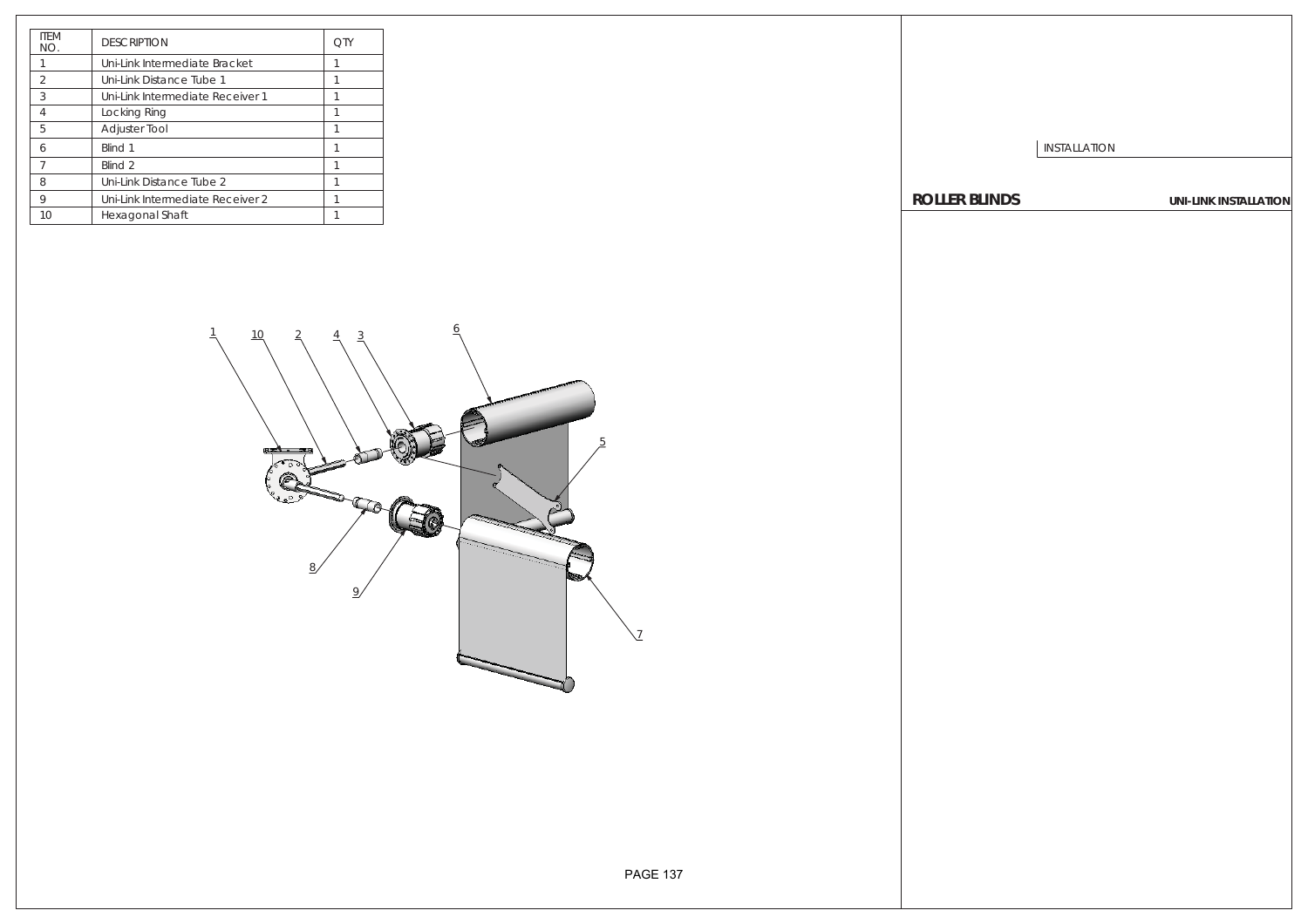| <b>ITFM</b><br>NO. | <b>DESCRIPTION</b>               | ОТУ |
|--------------------|----------------------------------|-----|
|                    | Uni-Link Intermediate Bracket    |     |
| $\mathfrak{D}$     | Uni-Link Distance Tube 1         |     |
| 3                  | Uni-Link Intermediate Receiver 1 |     |
| $\overline{A}$     | Locking Ring                     |     |
| 5                  | <b>Adjuster Tool</b>             |     |
| 6                  | Blind 1                          |     |
| 7                  | Blind <sub>2</sub>               |     |
| 8                  | Uni-Link Distance Tube 2         |     |
| 9                  | Uni-Link Intermediate Receiver 2 |     |
| 10                 | Hexagonal Shaft                  |     |

INSTALLATION

**ROLLER BLINDS UNI-LINK INSTALLATION**

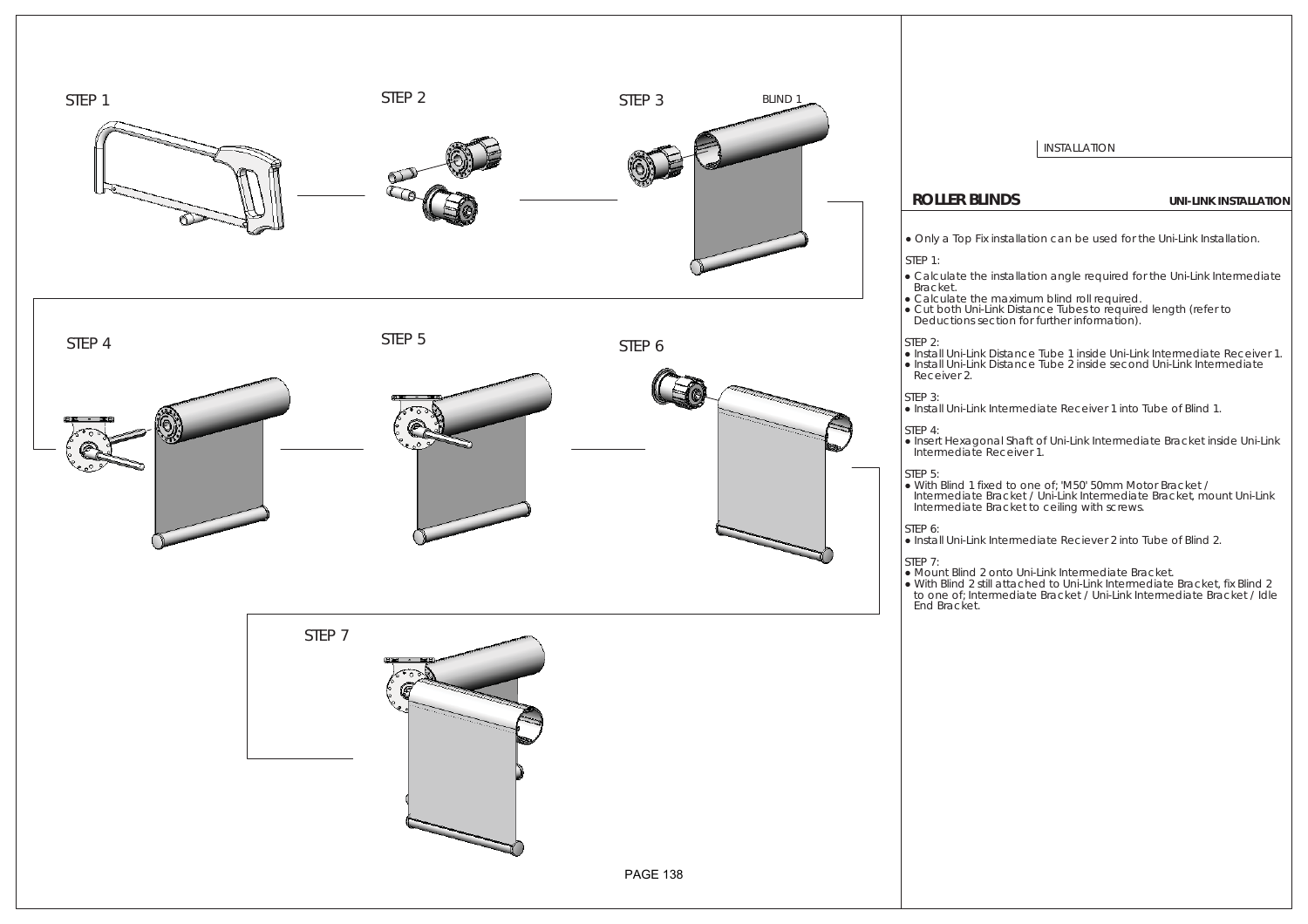

I INSTALLATION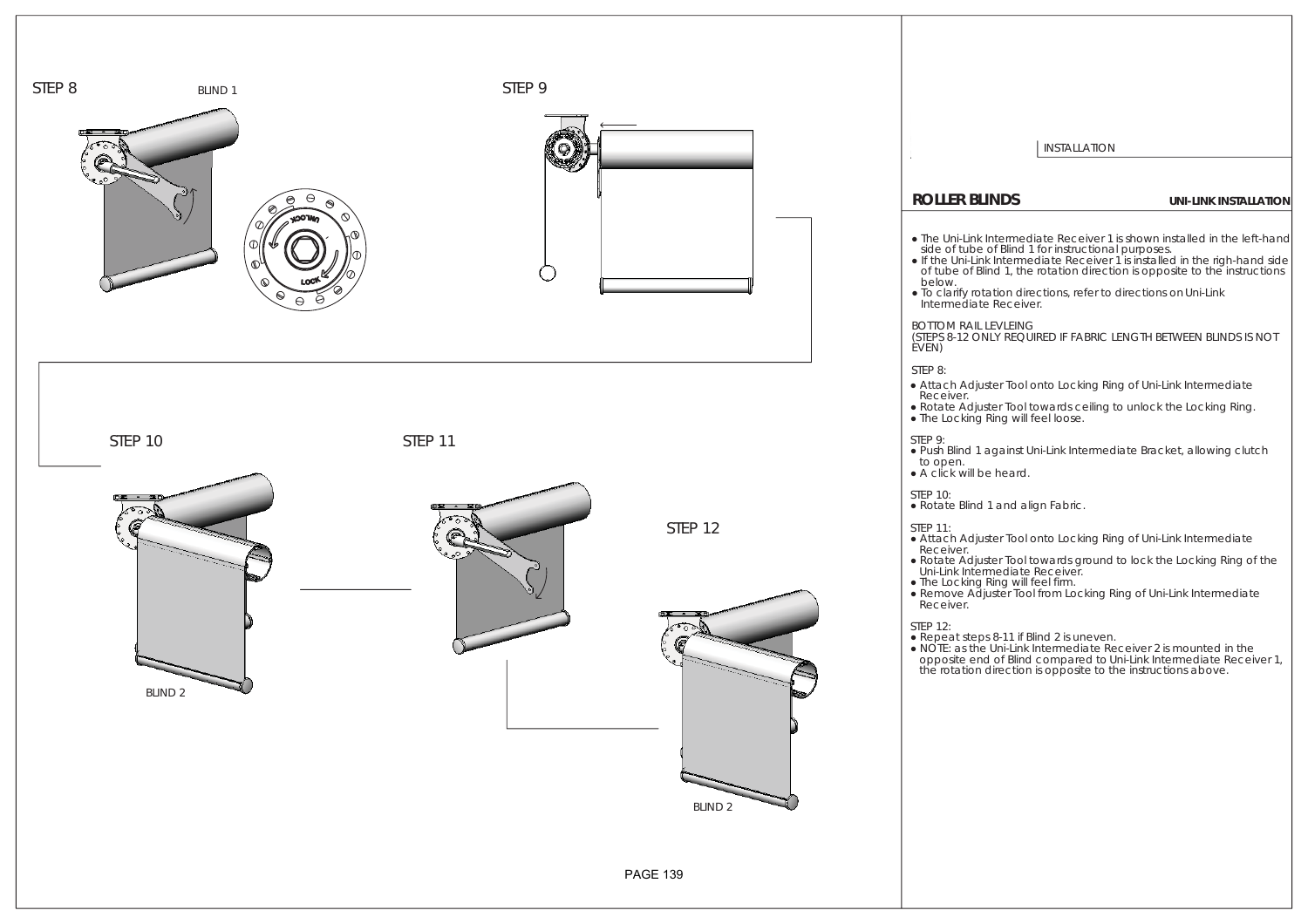

| <b>INSTALLATION</b>                                                                                                                                                                                                                                                                                                                                                                                             |                              |
|-----------------------------------------------------------------------------------------------------------------------------------------------------------------------------------------------------------------------------------------------------------------------------------------------------------------------------------------------------------------------------------------------------------------|------------------------------|
| <b>ROLLER BLINDS</b>                                                                                                                                                                                                                                                                                                                                                                                            | <b>UNI-LINK INSTALLATION</b> |
| • The Uni-Link Intermediate Receiver 1 is shown installed in the left-hand<br>side of tube of <i>Blind 1</i> for instructional purposes.<br>• If the Uni-Link Intermediate Receiver 1 is installed in the righ-hand side<br>of tube of Blind 1, the rotation direction is opposite to the instructions<br>below.<br>. To clarify rotation directions, refer to directions on Uni-Link<br>Intermediate Receiver. |                              |
| <b>BOTTOM RAIL LEVLEING</b><br>(STEPS 8-12 ONLY REQUIRED IF FABRIC LENGTH BETWEEN BLINDS IS NOT<br>EVEN)                                                                                                                                                                                                                                                                                                        |                              |
| STEP 8:<br>• Attach Adjuster Tool onto Locking Ring of Uni-Link Intermediate<br><i>Receiver.</i><br>• Rotate Adjuster Tool towards ceiling to unlock the Locking Ring.<br>. The <i>Locking Ring</i> will feel loose.                                                                                                                                                                                            |                              |
| STEP 9:<br>. Push Blind 1 against Uni-Link Intermediate Bracket, allowing clutch<br>to open.<br>$\bullet$ A click will be heard.                                                                                                                                                                                                                                                                                |                              |
| <b>STEP 10:</b><br>• Rotate <i>Blind 1</i> and align Fabric.                                                                                                                                                                                                                                                                                                                                                    |                              |
| <b>STEP 11:</b><br>• Attach Adjuster Tool onto Locking Ring of Uni-Link Intermediate<br>Receiver.<br>• Rotate Adjuster Tool towards ground to lock the Locking Ring of the<br>Uni-Link Intermediate Receiver.<br>. The Locking Ring will feel firm.<br>• Remove Adjuster Tool from Locking Ring of Uni-Link Intermediate<br>Receiver.                                                                           |                              |
| <b>STEP 12:</b><br>• Repeat steps 8-11 if <i>Blind 2</i> is uneven.<br>• NOTE: as the Uni-Link Intermediate Receiver 2 is mounted in the<br>opposite end of Blind compared to Uni-Link Intermediate Receiver 1,<br>the rotation direction is opposite to the instructions above.                                                                                                                                |                              |
|                                                                                                                                                                                                                                                                                                                                                                                                                 |                              |
|                                                                                                                                                                                                                                                                                                                                                                                                                 |                              |
|                                                                                                                                                                                                                                                                                                                                                                                                                 |                              |
|                                                                                                                                                                                                                                                                                                                                                                                                                 |                              |
|                                                                                                                                                                                                                                                                                                                                                                                                                 |                              |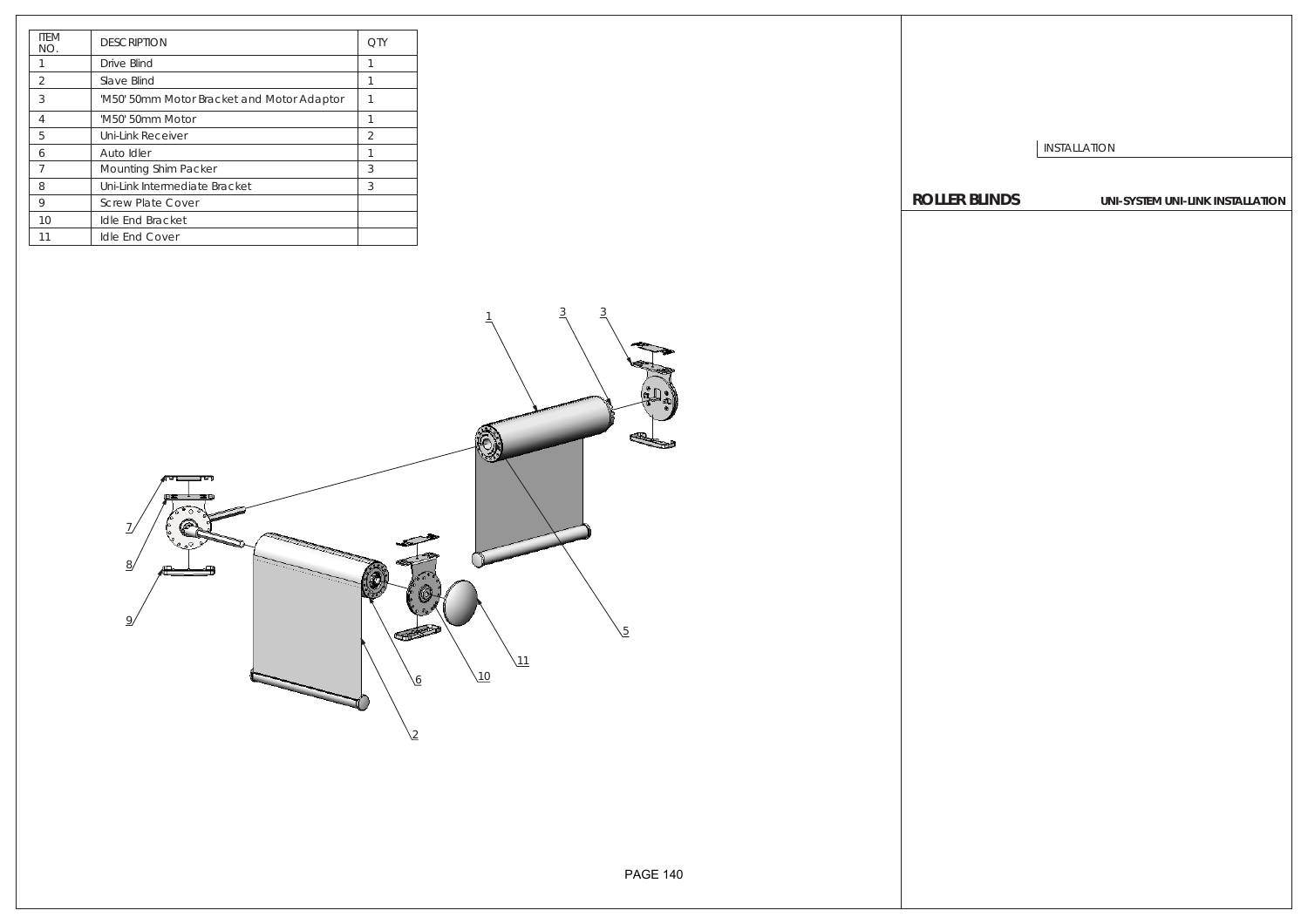| <b>ITFM</b><br>NO. | <b>DESCRIPTION</b>                         | OΤ |
|--------------------|--------------------------------------------|----|
|                    | Drive Blind                                |    |
| $\mathcal{P}$      | Slave Blind                                |    |
| 3                  | 'M50' 50mm Motor Bracket and Motor Adaptor |    |
| $\overline{4}$     | 'M50' 50mm Motor                           |    |
| 5                  | Uni-Link Receiver                          | 2  |
| 6                  | Auto Idler                                 | 1  |
| 7                  | <b>Mounting Shim Packer</b>                | 3  |
| 8                  | Uni-Link Intermediate Bracket              | 3  |
| 9                  | <b>Screw Plate Cover</b>                   |    |
| 10                 | <b>Idle End Bracket</b>                    |    |
| 11                 | <b>Idle End Cover</b>                      |    |

INSTALLATION **ROLLER BLINDS UNI-SYSTEM UNI-LINK INSTALLATION**

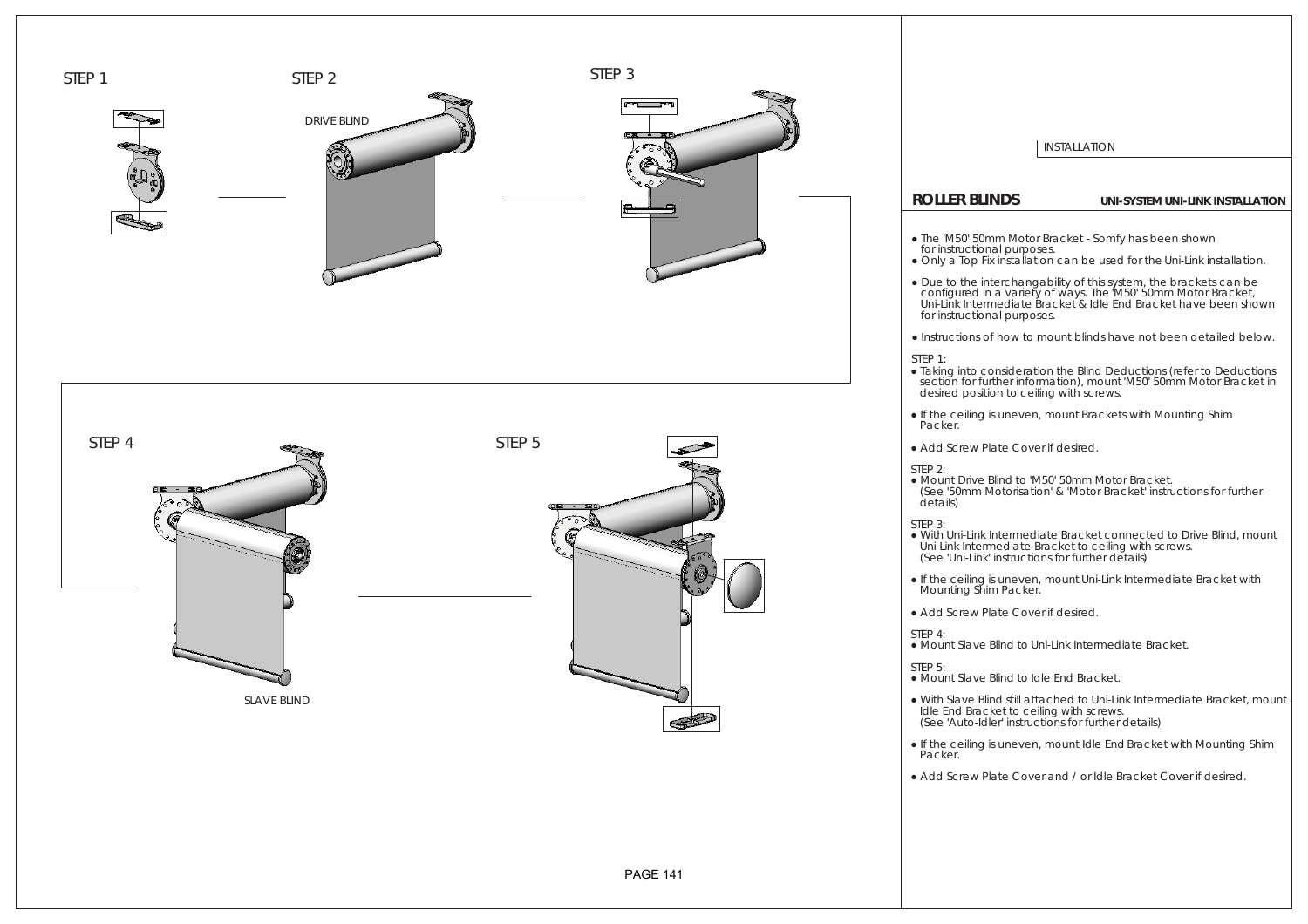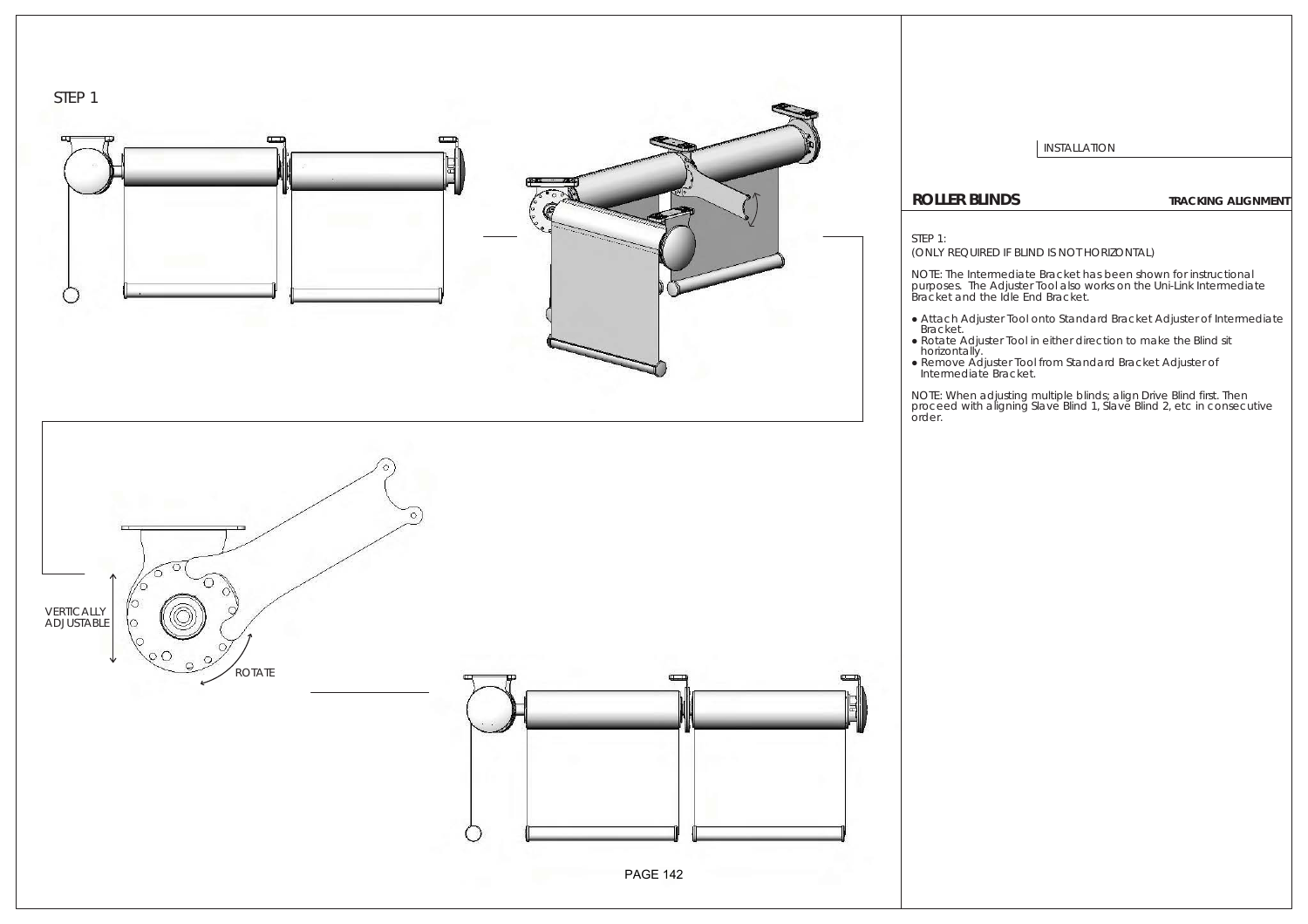

I INSTALLATION

## **ROLLER BLINDS TRACKING ALIGNMENT**

### STEP 1:

(ONLY REQUIRED IF BLIND IS NOT HORIZONTAL)

NOTE: The *Intermediate Bracket* has been shown for instructional purposes. The *Adjuster Tool* also works on the *Uni-Link Intermediate Bracket* and the *Idle End Bracket*.

- ŏ Attach *Adjuster Tool* onto *Standard Bracket Adjuster* of *Intermediate*
- *Bracket*. ŏ Rotate *Adjuster Tool* in either direction to make the *Blind* sit
- horizontally. ŏ Remove *Adjuster Tool* from *Standard Bracket Adjuster* of *Intermediate Bracket*.

NOTE: When adjusting multiple blinds; align *Drive Blind* first. Then proceed with aligning *Slave Blind 1*, *Slave Blind 2*, etc in consecutive order.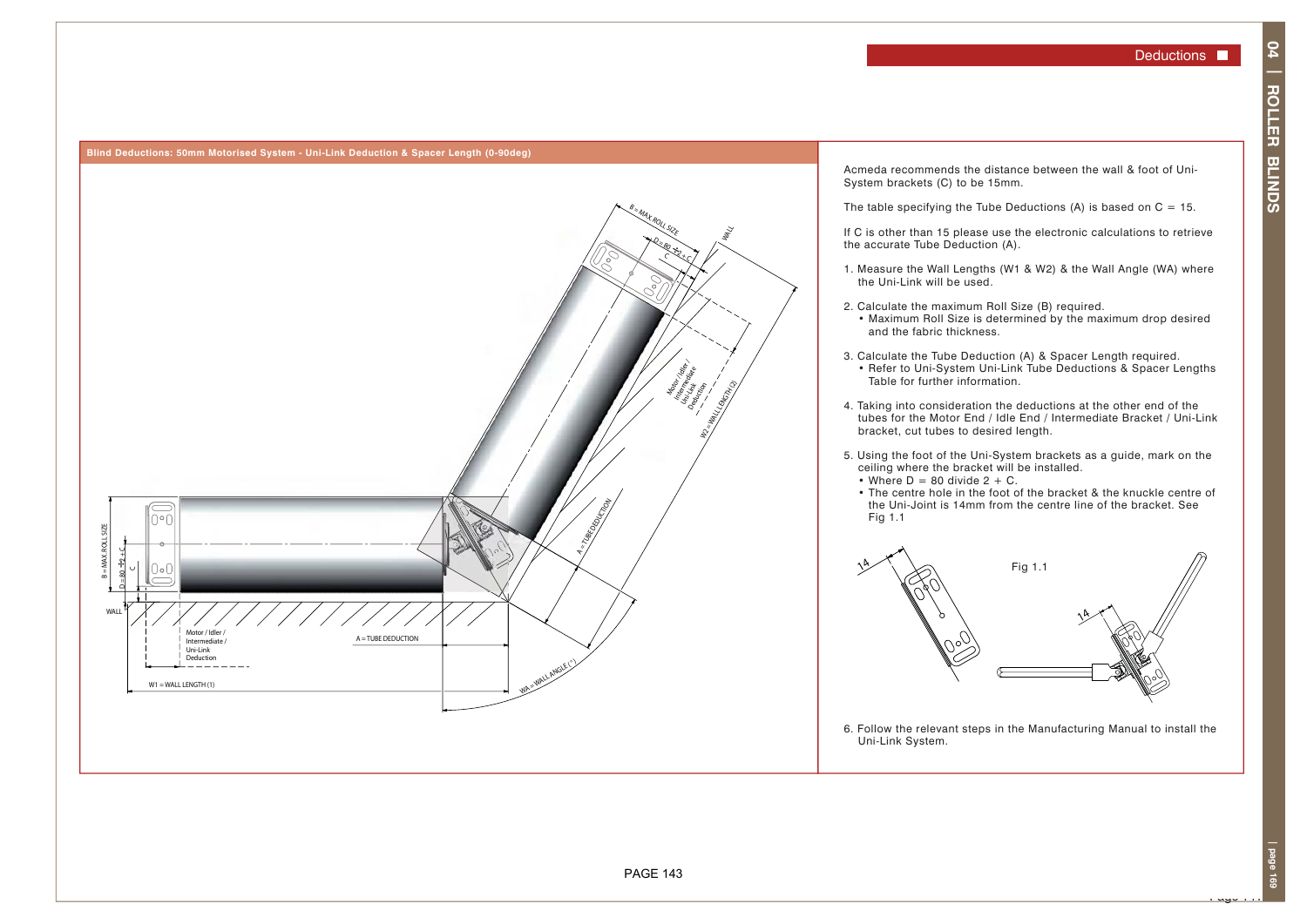

Acmeda recommends the distance between the wall & foot of Uni-System brackets (C) to be 15mm.

The table specifying the Tube Deductions (A) is based on  $C = 15$ .

If C is other than 15 please use the electronic calculations to retrieve the accurate Tube Deduction (A).

- 1. Measure the Wall Lengths (W1 & W2) & the Wall Angle (WA) where the Uni-Link will be used.
- 2. Calculate the maximum Roll Size (B) required. • Maximum Roll Size is determined by the maximum drop desired and the fabric thickness.
- 3. Calculate the Tube Deduction (A) & Spacer Length required. • Refer to Uni-System Uni-Link Tube Deductions & Spacer Lengths Table for further information.
- 4. Taking into consideration the deductions at the other end of the tubes for the Motor End / Idle End / Intermediate Bracket / Uni-Link bracket, cut tubes to desired length.
- 5. Using the foot of the Uni-System brackets as a guide, mark on the ceiling where the bracket will be installed. • Where  $D = 80$  divide  $2 + C$ .
	- The centre hole in the foot of the bracket & the knuckle centre of the Uni-Joint is 14mm from the centre line of the bracket. See Fig 1.1



6. Follow the relevant steps in the Manufacturing Manual to install the Uni-Link System.

. سهد .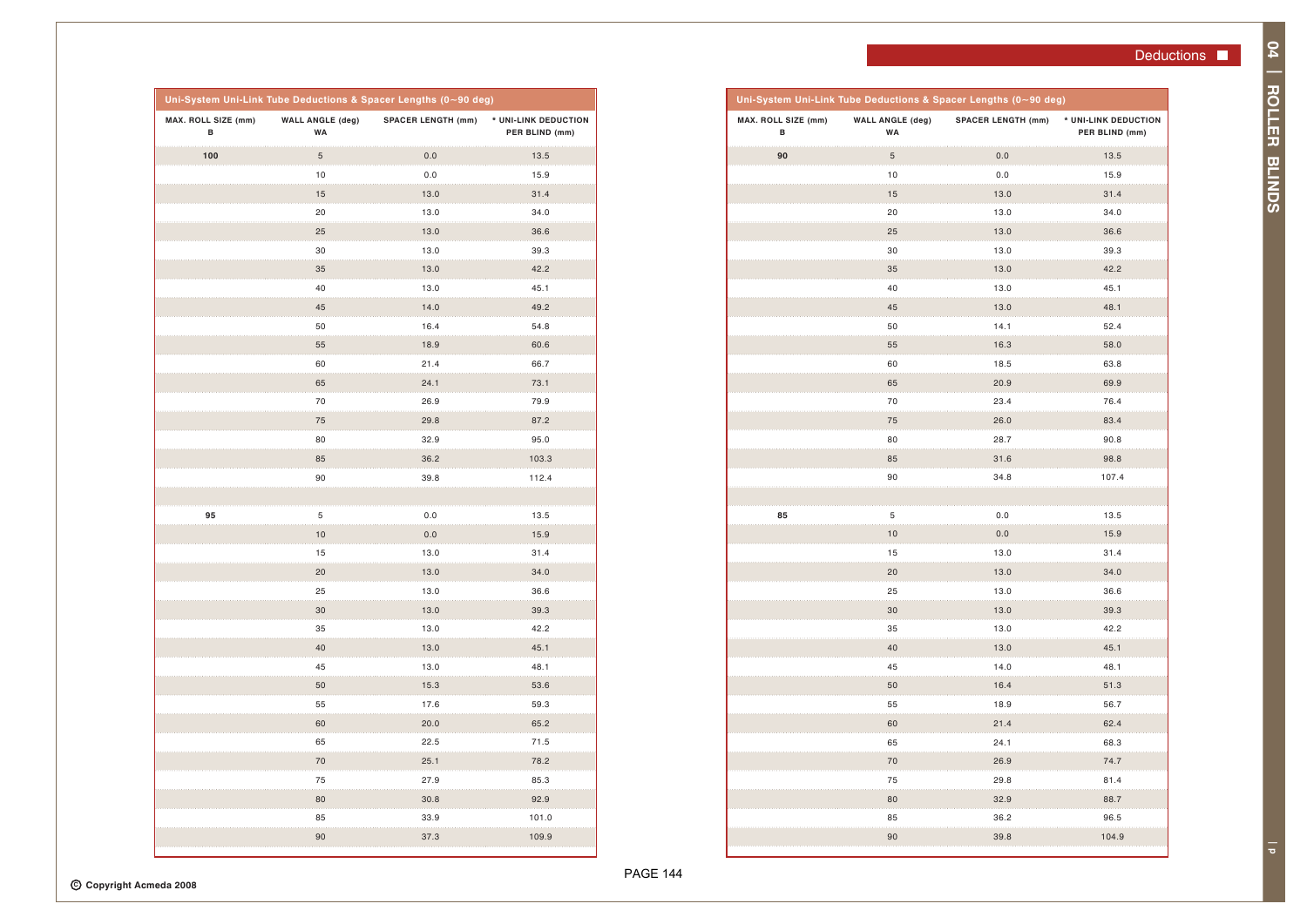**04 | ROLLER BLINDS** 

04 | ROLLER BLINDS

**| p**

| Uni-System Uni-Link Tube Deductions & Spacer Lengths (0~90 deg) |                               |                           |                                        |  |
|-----------------------------------------------------------------|-------------------------------|---------------------------|----------------------------------------|--|
| MAX. ROLL SIZE (mm)<br>в                                        | <b>WALL ANGLE (deg)</b><br>WA | <b>SPACER LENGTH (mm)</b> | * UNI-LINK DEDUCTION<br>PER BLIND (mm) |  |
| 90                                                              | $\sqrt{5}$                    | 0.0                       | 13.5                                   |  |
|                                                                 | 10                            | 0.0                       | 15.9                                   |  |
|                                                                 | 15                            | 13.0                      | 31.4                                   |  |
|                                                                 | 20                            | 13.0                      | 34.0                                   |  |
|                                                                 | 25                            | 13.0                      | 36.6                                   |  |
|                                                                 | 30                            | 13.0                      | 39.3                                   |  |
|                                                                 | 35                            | 13.0                      | 42.2                                   |  |
|                                                                 | 40                            | 13.0                      | 45.1                                   |  |
|                                                                 | 45                            | 13.0                      | 48.1                                   |  |
|                                                                 | 50                            | 14.1                      | 52.4                                   |  |
|                                                                 | 55                            | 16.3                      | 58.0                                   |  |
|                                                                 | 60                            | 18.5                      | 63.8                                   |  |
|                                                                 | 65                            | 20.9                      | 69.9                                   |  |
|                                                                 | 70                            | 23.4                      | 76.4                                   |  |
|                                                                 | 75                            | 26.0                      | 83.4                                   |  |
|                                                                 | 80                            | 28.7                      | 90.8                                   |  |
|                                                                 | 85                            | 31.6                      | 98.8                                   |  |
|                                                                 | 90                            | 34.8                      | 107.4                                  |  |
|                                                                 |                               |                           |                                        |  |
| 85                                                              | 5                             | 0.0                       | 13.5                                   |  |
|                                                                 | 10                            | 0.0                       | 15.9                                   |  |
|                                                                 | 15                            | 13.0                      | 31.4                                   |  |
|                                                                 | 20                            | 13.0                      | 34.0                                   |  |
|                                                                 | 25                            | 13.0                      | 36.6                                   |  |
|                                                                 | 30                            | 13.0                      | 39.3                                   |  |
|                                                                 | 35                            | 13.0                      | 42.2                                   |  |
|                                                                 | 40                            | 13.0                      | 45.1                                   |  |
|                                                                 | 45                            | 14.0                      | 48.1                                   |  |
|                                                                 | 50                            | 16.4                      | 51.3                                   |  |
|                                                                 | 55                            | 18.9                      | 56.7                                   |  |
|                                                                 | 60                            | 21.4                      | 62.4                                   |  |
|                                                                 | 65                            | 24.1                      | 68.3                                   |  |
|                                                                 | 70                            | 26.9                      | 74.7                                   |  |
|                                                                 | 75                            | 29.8                      | 81.4                                   |  |
|                                                                 | 80                            | 32.9                      | 88.7                                   |  |
|                                                                 | 85                            | 36.2                      | 96.5                                   |  |
|                                                                 | 90                            | 39.8                      | 104.9                                  |  |

| Uni-System Uni-Link Tube Deductions & Spacer Lengths (0~90 deg) |                               |                           |                                        |
|-----------------------------------------------------------------|-------------------------------|---------------------------|----------------------------------------|
| MAX. ROLL SIZE (mm)<br>В                                        | <b>WALL ANGLE (deg)</b><br>WA | <b>SPACER LENGTH (mm)</b> | * UNI-LINK DEDUCTION<br>PER BLIND (mm) |
| 100                                                             | $\sqrt{5}$                    | $0.0\,$                   | 13.5                                   |
|                                                                 | 10                            | 0.0                       | 15.9                                   |
|                                                                 | 15                            | 13.0                      | 31.4                                   |
|                                                                 | 20                            | 13.0                      | 34.0                                   |
|                                                                 | 25                            | 13.0                      | 36.6                                   |
|                                                                 | 30                            | 13.0                      | 39.3                                   |
|                                                                 | 35                            | 13.0                      | 42.2                                   |
|                                                                 | 40                            | 13.0                      | 45.1                                   |
|                                                                 | 45                            | 14.0                      | 49.2                                   |
|                                                                 | 50                            | 16.4                      | 54.8                                   |
|                                                                 | 55                            | 18.9                      | 60.6                                   |
|                                                                 | 60                            | 21.4                      | 66.7                                   |
|                                                                 | 65                            | 24.1                      | 73.1                                   |
|                                                                 | 70                            | 26.9                      | 79.9                                   |
|                                                                 | 75                            | 29.8                      | 87.2                                   |
|                                                                 | 80                            | 32.9                      | 95.0                                   |
|                                                                 | 85                            | 36.2                      | 103.3                                  |
|                                                                 | 90                            | 39.8                      | 112.4                                  |
|                                                                 |                               |                           |                                        |
| 95                                                              | 5                             | 0.0                       | 13.5                                   |
|                                                                 | 10                            | $0.0\,$                   | 15.9                                   |
|                                                                 | 15                            | 13.0                      | 31.4                                   |
|                                                                 | 20                            | 13.0                      | 34.0                                   |
|                                                                 | 25                            | 13.0                      | 36.6                                   |
|                                                                 | 30                            | 13.0                      | 39.3                                   |
|                                                                 | 35                            | 13.0                      | 42.2                                   |
|                                                                 | 40                            | 13.0                      | 45.1                                   |
|                                                                 | 45                            | 13.0                      | 48.1                                   |
|                                                                 | 50                            | 15.3                      | 53.6                                   |
|                                                                 | 55                            | 17.6                      | 59.3                                   |
|                                                                 | 60                            | 20.0                      | 65.2                                   |
|                                                                 | 65                            | 22.5                      | 71.5                                   |
|                                                                 | 70                            | 25.1                      | 78.2                                   |
|                                                                 | 75                            | 27.9                      | 85.3                                   |
|                                                                 | 80                            | 30.8                      | 92.9                                   |
|                                                                 | 85                            | 33.9                      | 101.0                                  |
|                                                                 | 90                            | 37.3                      | 109.9                                  |
|                                                                 |                               |                           |                                        |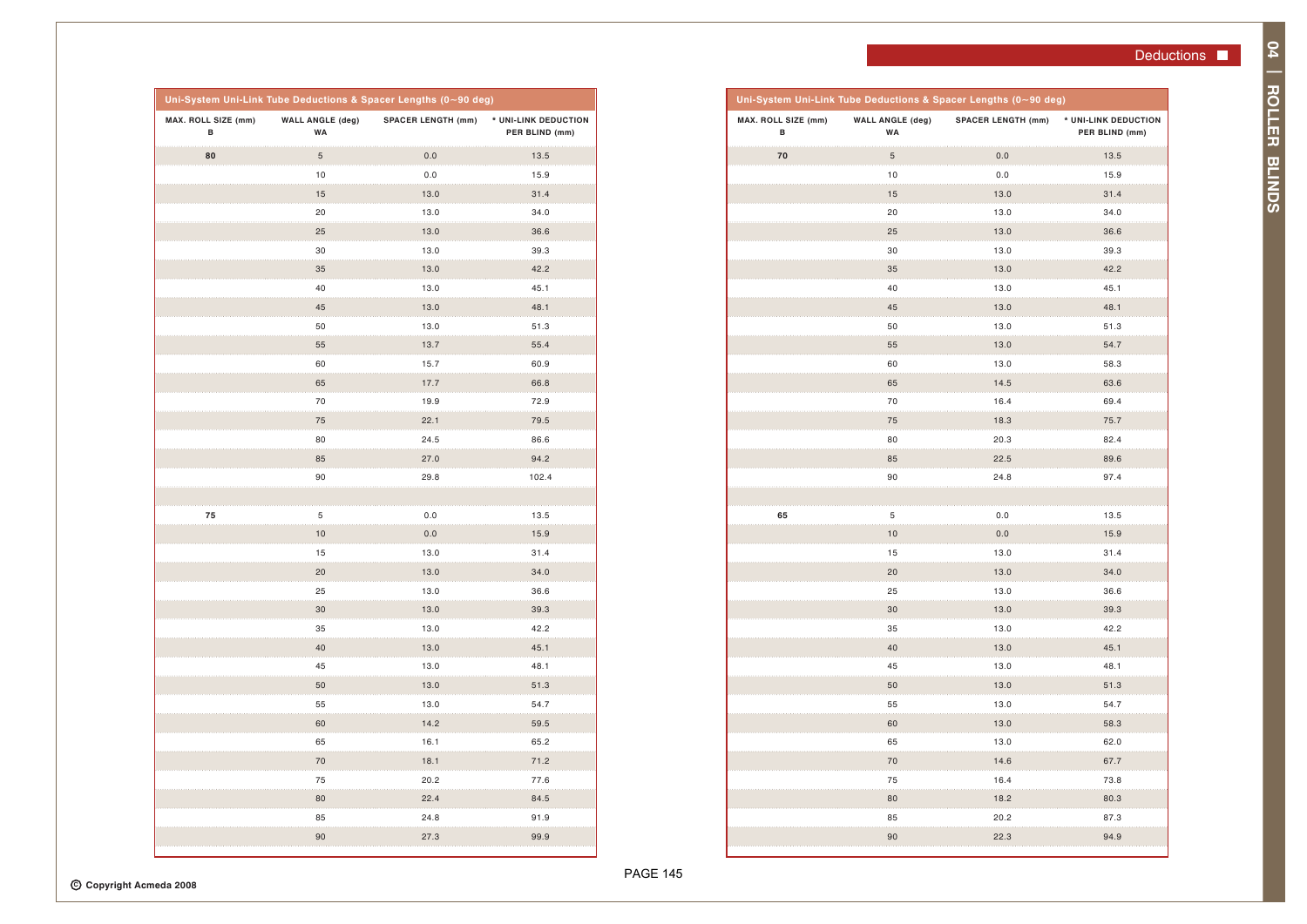| L SIZE (mm)<br>в | <b>WALL ANGLE (deg)</b><br>WA | <b>SPACER LENGTH (mm)</b> | * UNI-LINK DEDUCTION<br>PER BLIND (mm) |
|------------------|-------------------------------|---------------------------|----------------------------------------|
| 70               | 5                             | 0.0                       | 13.5                                   |
|                  | 10                            | 0.0                       | 15.9                                   |
|                  | 15                            | 13.0                      | 31.4                                   |
|                  | 20                            | 13.0                      | 34.0                                   |
|                  | 25                            | 13.0                      | 36.6                                   |
|                  | 30                            | 13.0                      | 39.3                                   |
|                  | 35                            | 13.0                      | 42.2                                   |
|                  | 40                            | 13.0                      | 45.1                                   |
|                  | 45                            | 13.0                      | 48.1                                   |
|                  | 50                            | 13.0                      | 51.3                                   |
|                  | 55                            | 13.0                      | 54.7                                   |
|                  | 60                            | 13.0                      | 58.3                                   |
|                  | 65                            | 14.5                      | 63.6                                   |
|                  | 70                            | 16.4                      | 69.4                                   |
|                  | 75                            | 18.3                      | 75.7                                   |
|                  | 80                            | 20.3                      | 82.4                                   |
|                  | 85                            | 22.5                      | 89.6                                   |
|                  | 90                            | 24.8                      | 97.4                                   |
|                  |                               |                           |                                        |
| 65               | 5                             | 0.0                       | 13.5                                   |
|                  | 10                            | 0.0                       | 15.9                                   |
|                  | 15                            | 13.0                      | 31.4                                   |
|                  | 20                            | 13.0                      | 34.0                                   |
|                  | 25                            | 13.0                      | 36.6                                   |
|                  | 30                            | 13.0                      | 39.3                                   |
|                  | 35                            | 13.0                      | 42.2                                   |
|                  | 40                            | 13.0                      | 45.1                                   |
|                  | 45                            | 13.0                      | 48.1                                   |
|                  | 50                            | 13.0                      | 51.3                                   |
|                  | 55                            | 13.0                      | 54.7                                   |
|                  | 60                            | 13.0                      | 58.3                                   |
|                  | 65                            | 13.0                      | 62.0                                   |
|                  | 70                            | 14.6                      | 67.7                                   |
|                  | 75                            | 16.4                      | 73.8                                   |

80 18.2 80.3 85 20.2 87.3 90 22.3 94.9

| Uni-System Uni-Link Tube Deductions & Spacer Lengths (0~90 deg) |                               |                           |                                        |  |
|-----------------------------------------------------------------|-------------------------------|---------------------------|----------------------------------------|--|
| MAX. ROLL SIZE (mm)<br>В                                        | <b>WALL ANGLE (deg)</b><br>WA | <b>SPACER LENGTH (mm)</b> | * UNI-LINK DEDUCTION<br>PER BLIND (mm) |  |
| 80                                                              | 5                             | 0.0                       | 13.5                                   |  |
|                                                                 | 10                            | 0.0                       | 15.9                                   |  |
|                                                                 | 15                            | 13.0                      | 31.4                                   |  |
|                                                                 | 20                            | 13.0                      | 34.0                                   |  |
|                                                                 | 25                            | 13.0                      | 36.6                                   |  |
|                                                                 | 30                            | 13.0                      | 39.3                                   |  |
|                                                                 | 35                            | 13.0                      | 42.2                                   |  |
|                                                                 | 40                            | 13.0                      | 45.1                                   |  |
|                                                                 | 45                            | 13.0                      | 48.1                                   |  |
|                                                                 | 50                            | 13.0                      | 51.3                                   |  |
|                                                                 | 55                            | 13.7                      | 55.4                                   |  |
|                                                                 | 60                            | 15.7                      | 60.9                                   |  |
|                                                                 | 65                            | 17.7                      | 66.8                                   |  |
|                                                                 | 70                            | 19.9                      | 72.9                                   |  |
|                                                                 | 75                            | 22.1                      | 79.5                                   |  |
|                                                                 | 80                            | 24.5                      | 86.6                                   |  |
|                                                                 | 85                            | 27.0                      | 94.2                                   |  |
|                                                                 | 90                            | 29.8                      | 102.4                                  |  |
|                                                                 |                               |                           |                                        |  |
| 75                                                              | 5                             | 0.0                       | 13.5                                   |  |
|                                                                 | 10                            | 0.0                       | 15.9                                   |  |
|                                                                 | 15                            | 13.0                      | 31.4                                   |  |
|                                                                 | 20                            | 13.0                      | 34.0                                   |  |
|                                                                 | 25                            | 13.0                      | 36.6                                   |  |
|                                                                 | 30                            | 13.0                      | 39.3                                   |  |
|                                                                 | 35                            | 13.0                      | 42.2                                   |  |
|                                                                 | 40                            | 13.0                      | 45.1                                   |  |
|                                                                 | 45                            | 13.0                      | 48.1                                   |  |
|                                                                 | 50                            | 13.0                      | 51.3                                   |  |
|                                                                 | 55                            | 13.0                      | 54.7                                   |  |
|                                                                 | 60                            | 14.2                      | 59.5                                   |  |
|                                                                 | 65                            | 16.1                      | 65.2                                   |  |
|                                                                 | 70                            | 18.1                      | 71.2                                   |  |
|                                                                 | 75                            | 20.2                      | 77.6                                   |  |
|                                                                 | 80                            | 22.4                      | 84.5                                   |  |
|                                                                 | 85                            | 24.8                      | 91.9                                   |  |
|                                                                 | 90                            | 27.3                      | 99.9                                   |  |
|                                                                 |                               |                           |                                        |  |

PAGE 145

**MAX. ROLL SIZE (mm) B**

 **Uni-System Uni-Link Tube Deductions**